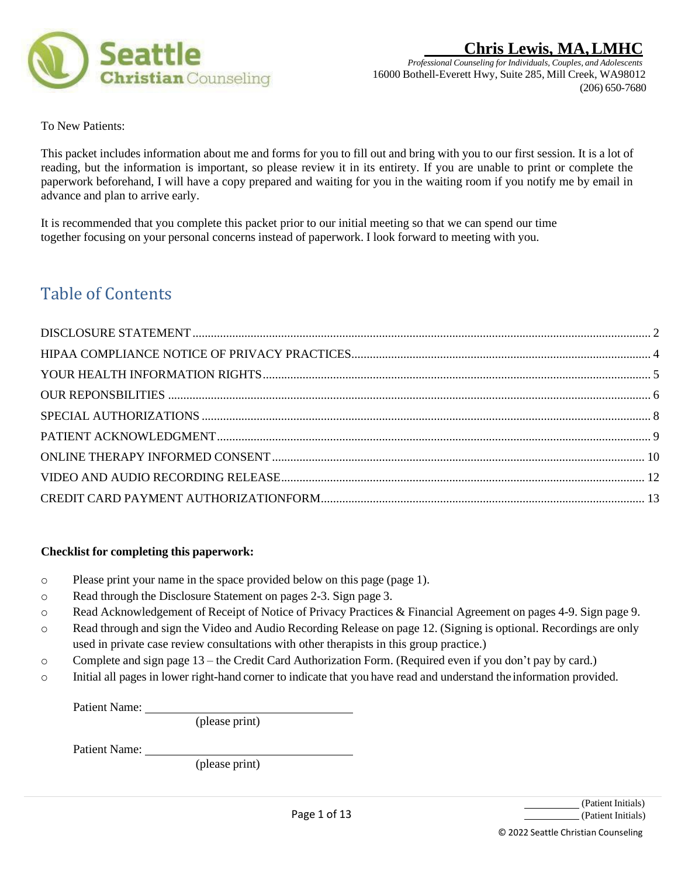

*Professional Counseling for Individuals, Couples, and Adolescents* 16000 Bothell-Everett Hwy, Suite 285, Mill Creek, WA98012 (206) 650-7680

To New Patients:

This packet includes information about me and forms for you to fill out and bring with you to our first session. It is a lot of reading, but the information is important, so please review it in its entirety. If you are unable to print or complete the paperwork beforehand, I will have a copy prepared and waiting for you in the waiting room if you notify me by email in advance and plan to arrive early.

It is recommended that you complete this packet prior to our initial meeting so that we can spend our time together focusing on your personal concerns instead of paperwork. I look forward to meeting with you.

# Table of Contents

## **Checklist for completing this paperwork:**

- o Please print your name in the space provided below on this page (page 1).
- o Read through the Disclosure Statement on pages 2-3. Sign page 3.
- o Read Acknowledgement of Receipt of Notice of Privacy Practices & Financial Agreement on pages 4-9. Sign page 9.
- o Read through and sign the Video and Audio Recording Release on page 12. (Signing is optional. Recordings are only used in private case review consultations with other therapists in this group practice.)
- o Complete and sign page 13 the Credit Card Authorization Form. (Required even if you don't pay by card.)
- o Initial all pages in lower right-hand corner to indicate that you have read and understand the information provided.

Patient Name:

(please print)

Patient Name:

(please print)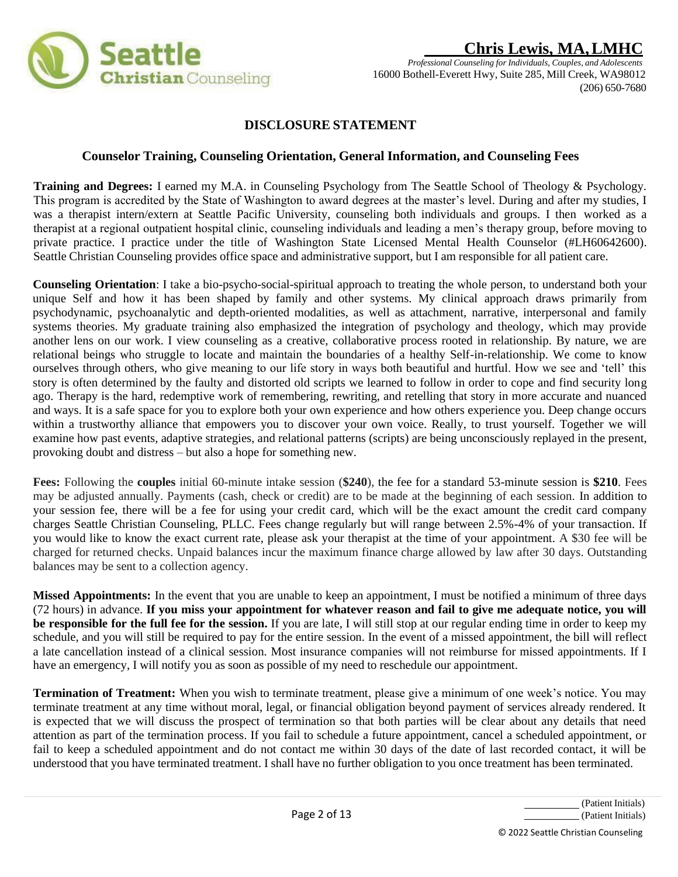

# **DISCLOSURE STATEMENT**

## **Counselor Training, Counseling Orientation, General Information, and Counseling Fees**

**Training and Degrees:** I earned my M.A. in Counseling Psychology from The Seattle School of Theology & Psychology. This program is accredited by the State of Washington to award degrees at the master's level. During and after my studies, I was a therapist intern/extern at Seattle Pacific University, counseling both individuals and groups. I then worked as a therapist at a regional outpatient hospital clinic, counseling individuals and leading a men's therapy group, before moving to private practice. I practice under the title of Washington State Licensed Mental Health Counselor (#LH60642600). Seattle Christian Counseling provides office space and administrative support, but I am responsible for all patient care.

**Counseling Orientation**: I take a bio-psycho-social-spiritual approach to treating the whole person, to understand both your unique Self and how it has been shaped by family and other systems. My clinical approach draws primarily from psychodynamic, psychoanalytic and depth-oriented modalities, as well as attachment, narrative, interpersonal and family systems theories. My graduate training also emphasized the integration of psychology and theology, which may provide another lens on our work. I view counseling as a creative, collaborative process rooted in relationship. By nature, we are relational beings who struggle to locate and maintain the boundaries of a healthy Self-in-relationship. We come to know ourselves through others, who give meaning to our life story in ways both beautiful and hurtful. How we see and 'tell' this story is often determined by the faulty and distorted old scripts we learned to follow in order to cope and find security long ago. Therapy is the hard, redemptive work of remembering, rewriting, and retelling that story in more accurate and nuanced and ways. It is a safe space for you to explore both your own experience and how others experience you. Deep change occurs within a trustworthy alliance that empowers you to discover your own voice. Really, to trust yourself. Together we will examine how past events, adaptive strategies, and relational patterns (scripts) are being unconsciously replayed in the present, provoking doubt and distress – but also a hope for something new.

**Fees:** Following the **couples** initial 60-minute intake session (**\$240**), the fee for a standard 53-minute session is **\$210**. Fees may be adjusted annually. Payments (cash, check or credit) are to be made at the beginning of each session. In addition to your session fee, there will be a fee for using your credit card, which will be the exact amount the credit card company charges Seattle Christian Counseling, PLLC. Fees change regularly but will range between 2.5%-4% of your transaction. If you would like to know the exact current rate, please ask your therapist at the time of your appointment. A \$30 fee will be charged for returned checks. Unpaid balances incur the maximum finance charge allowed by law after 30 days. Outstanding balances may be sent to a collection agency.

**Missed Appointments:** In the event that you are unable to keep an appointment, I must be notified a minimum of three days (72 hours) in advance. **If you miss your appointment for whatever reason and fail to give me adequate notice, you will be responsible for the full fee for the session.** If you are late, I will still stop at our regular ending time in order to keep my schedule, and you will still be required to pay for the entire session. In the event of a missed appointment, the bill will reflect a late cancellation instead of a clinical session. Most insurance companies will not reimburse for missed appointments. If I have an emergency, I will notify you as soon as possible of my need to reschedule our appointment.

**Termination of Treatment:** When you wish to terminate treatment, please give a minimum of one week's notice. You may terminate treatment at any time without moral, legal, or financial obligation beyond payment of services already rendered. It is expected that we will discuss the prospect of termination so that both parties will be clear about any details that need attention as part of the termination process. If you fail to schedule a future appointment, cancel a scheduled appointment, or fail to keep a scheduled appointment and do not contact me within 30 days of the date of last recorded contact, it will be understood that you have terminated treatment. I shall have no further obligation to you once treatment has been terminated.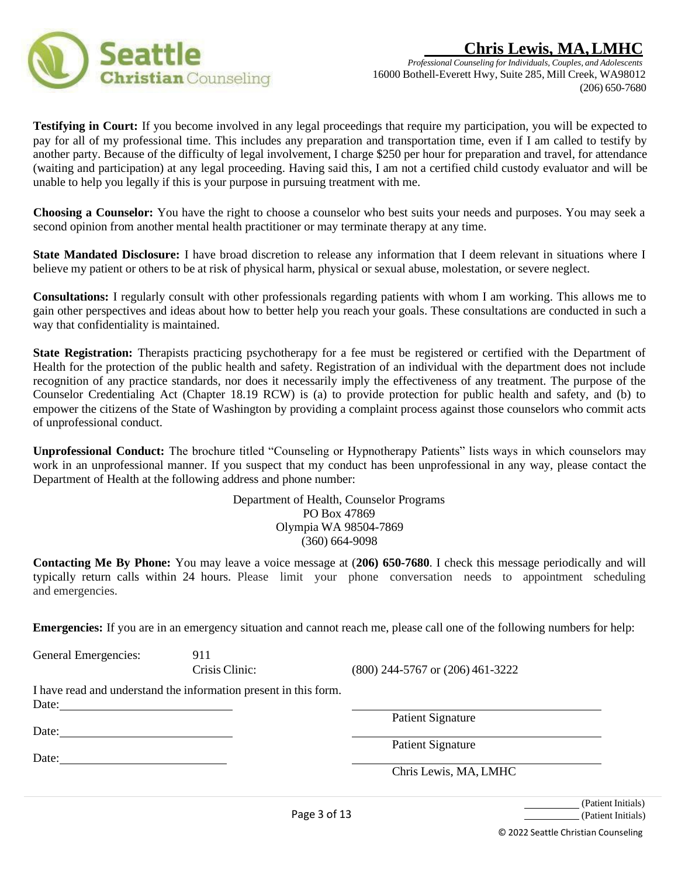



**Testifying in Court:** If you become involved in any legal proceedings that require my participation, you will be expected to pay for all of my professional time. This includes any preparation and transportation time, even if I am called to testify by another party. Because of the difficulty of legal involvement, I charge \$250 per hour for preparation and travel, for attendance (waiting and participation) at any legal proceeding. Having said this, I am not a certified child custody evaluator and will be unable to help you legally if this is your purpose in pursuing treatment with me.

**Choosing a Counselor:** You have the right to choose a counselor who best suits your needs and purposes. You may seek a second opinion from another mental health practitioner or may terminate therapy at any time.

**State Mandated Disclosure:** I have broad discretion to release any information that I deem relevant in situations where I believe my patient or others to be at risk of physical harm, physical or sexual abuse, molestation, or severe neglect.

**Consultations:** I regularly consult with other professionals regarding patients with whom I am working. This allows me to gain other perspectives and ideas about how to better help you reach your goals. These consultations are conducted in such a way that confidentiality is maintained.

**State Registration:** Therapists practicing psychotherapy for a fee must be registered or certified with the Department of Health for the protection of the public health and safety. Registration of an individual with the department does not include recognition of any practice standards, nor does it necessarily imply the effectiveness of any treatment. The purpose of the Counselor Credentialing Act (Chapter 18.19 RCW) is (a) to provide protection for public health and safety, and (b) to empower the citizens of the State of Washington by providing a complaint process against those counselors who commit acts of unprofessional conduct.

**Unprofessional Conduct:** The brochure titled "Counseling or Hypnotherapy Patients" lists ways in which counselors may work in an unprofessional manner. If you suspect that my conduct has been unprofessional in any way, please contact the Department of Health at the following address and phone number:

> Department of Health, Counselor Programs PO Box 47869 Olympia WA 98504-7869 (360) 664-9098

**Contacting Me By Phone:** You may leave a voice message at (**206) 650-7680**. I check this message periodically and will typically return calls within 24 hours. Please limit your phone conversation needs to appointment scheduling and emergencies.

**Emergencies:** If you are in an emergency situation and cannot reach me, please call one of the following numbers for help:

General Emergencies: 911

Crisis Clinic: (800) 244-5767 or (206) 461-3222

I have read and understand the information present in this form. Date:

Date:

Date:

Patient Signature

Patient Signature

Chris Lewis, MA, LMHC

(Patient Initials) (Patient Initials)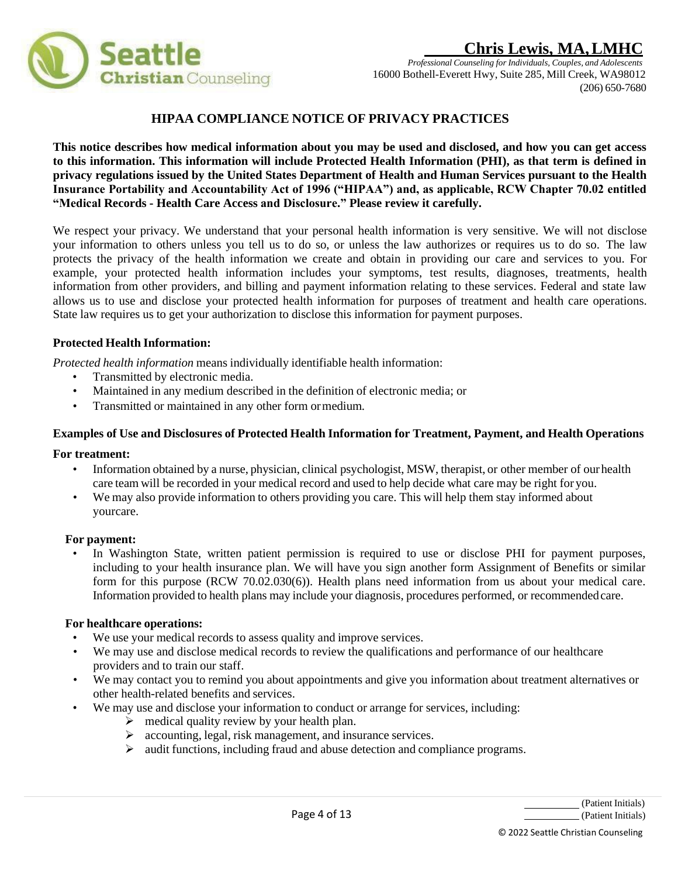

# **HIPAA COMPLIANCE NOTICE OF PRIVACY PRACTICES**

**This notice describes how medical information about you may be used and disclosed, and how you can get access to this information. This information will include Protected Health Information (PHI), as that term is defined in privacy regulations issued by the United States Department of Health and Human Services pursuant to the Health Insurance Portability and Accountability Act of 1996 ("HIPAA") and, as applicable, RCW Chapter 70.02 entitled "Medical Records - Health Care Access and Disclosure." Please review it carefully.**

We respect your privacy. We understand that your personal health information is very sensitive. We will not disclose your information to others unless you tell us to do so, or unless the law authorizes or requires us to do so. The law protects the privacy of the health information we create and obtain in providing our care and services to you. For example, your protected health information includes your symptoms, test results, diagnoses, treatments, health information from other providers, and billing and payment information relating to these services. Federal and state law allows us to use and disclose your protected health information for purposes of treatment and health care operations. State law requires us to get your authorization to disclose this information for payment purposes.

## **Protected Health Information:**

*Protected health information* means individually identifiable health information:

- Transmitted by electronic media.
- Maintained in any medium described in the definition of electronic media; or
- Transmitted or maintained in any other form ormedium.

## **Examples of Use and Disclosures of Protected Health Information for Treatment, Payment, and Health Operations**

### **For treatment:**

- Information obtained by a nurse, physician, clinical psychologist, MSW, therapist, or other member of ourhealth care team will be recorded in your medical record and used to help decide what care may be right for you.
- We may also provide information to others providing you care. This will help them stay informed about yourcare.

### **For payment:**

• In Washington State, written patient permission is required to use or disclose PHI for payment purposes, including to your health insurance plan. We will have you sign another form Assignment of Benefits or similar form for this purpose (RCW 70.02.030(6)). Health plans need information from us about your medical care. Information provided to health plans may include your diagnosis, procedures performed, or recommendedcare.

### **For healthcare operations:**

- We use your medical records to assess quality and improve services.
- We may use and disclose medical records to review the qualifications and performance of our healthcare providers and to train our staff.
- We may contact you to remind you about appointments and give you information about treatment alternatives or other health-related benefits and services.
- We may use and disclose your information to conduct or arrange for services, including:
	- $\triangleright$  medical quality review by your health plan.
	- ➢ accounting, legal, risk management, and insurance services.
	- ➢ audit functions, including fraud and abuse detection and compliance programs.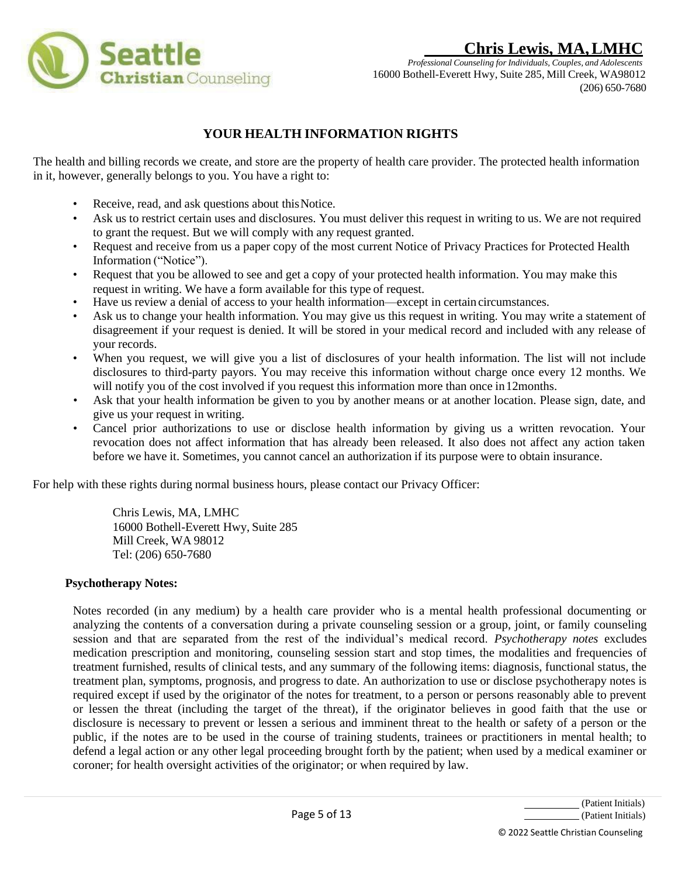

*Professional Counseling for Individuals, Couples, and Adolescents* 16000 Bothell-Everett Hwy, Suite 285, Mill Creek, WA98012 (206) 650-7680

# **YOUR HEALTH INFORMATION RIGHTS**

The health and billing records we create, and store are the property of health care provider. The protected health information in it, however, generally belongs to you. You have a right to:

- Receive, read, and ask questions about this Notice.
- Ask us to restrict certain uses and disclosures. You must deliver this request in writing to us. We are not required to grant the request. But we will comply with any request granted.
- Request and receive from us a paper copy of the most current Notice of Privacy Practices for Protected Health Information ("Notice").
- Request that you be allowed to see and get a copy of your protected health information. You may make this request in writing. We have a form available for this type of request.
- Have us review a denial of access to your health information—except in certain circumstances.
- Ask us to change your health information. You may give us this request in writing. You may write a statement of disagreement if your request is denied. It will be stored in your medical record and included with any release of your records.
- When you request, we will give you a list of disclosures of your health information. The list will not include disclosures to third-party payors. You may receive this information without charge once every 12 months. We will notify you of the cost involved if you request this information more than once in 12months.
- Ask that your health information be given to you by another means or at another location. Please sign, date, and give us your request in writing.
- Cancel prior authorizations to use or disclose health information by giving us a written revocation. Your revocation does not affect information that has already been released. It also does not affect any action taken before we have it. Sometimes, you cannot cancel an authorization if its purpose were to obtain insurance.

For help with these rights during normal business hours, please contact our Privacy Officer:

Chris Lewis, MA, LMHC 16000 Bothell-Everett Hwy, Suite 285 Mill Creek, WA 98012 Tel: (206) 650-7680

### **Psychotherapy Notes:**

Notes recorded (in any medium) by a health care provider who is a mental health professional documenting or analyzing the contents of a conversation during a private counseling session or a group, joint, or family counseling session and that are separated from the rest of the individual's medical record. *Psychotherapy notes* excludes medication prescription and monitoring, counseling session start and stop times, the modalities and frequencies of treatment furnished, results of clinical tests, and any summary of the following items: diagnosis, functional status, the treatment plan, symptoms, prognosis, and progress to date. An authorization to use or disclose psychotherapy notes is required except if used by the originator of the notes for treatment, to a person or persons reasonably able to prevent or lessen the threat (including the target of the threat), if the originator believes in good faith that the use or disclosure is necessary to prevent or lessen a serious and imminent threat to the health or safety of a person or the public, if the notes are to be used in the course of training students, trainees or practitioners in mental health; to defend a legal action or any other legal proceeding brought forth by the patient; when used by a medical examiner or coroner; for health oversight activities of the originator; or when required by law.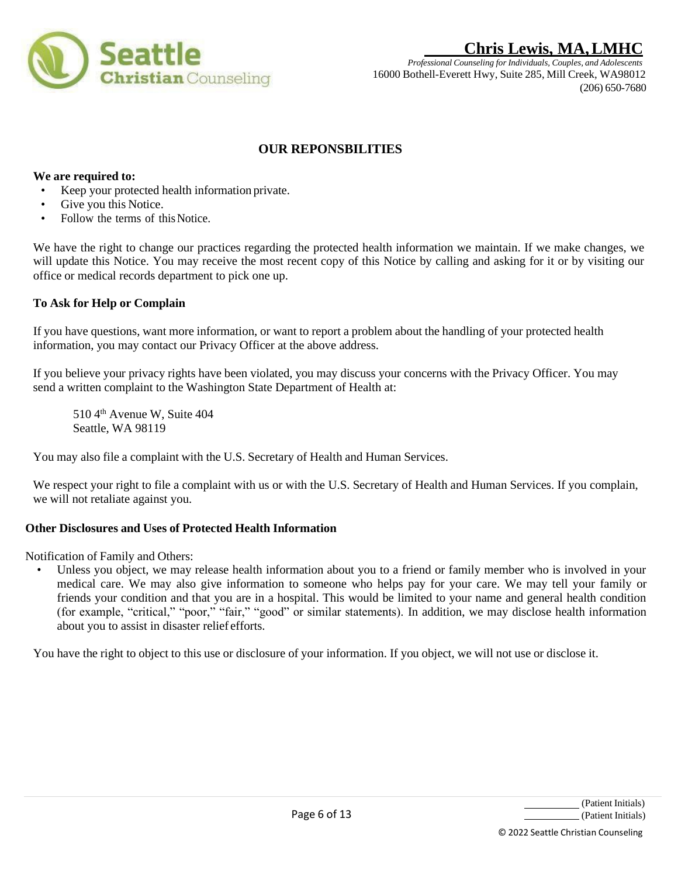

*Professional Counseling for Individuals, Couples, and Adolescents* 16000 Bothell-Everett Hwy, Suite 285, Mill Creek, WA98012 (206) 650-7680

# **OUR REPONSBILITIES**

## **We are required to:**

- Keep your protected health information private.
- Give you this Notice.
- Follow the terms of this Notice.

We have the right to change our practices regarding the protected health information we maintain. If we make changes, we will update this Notice. You may receive the most recent copy of this Notice by calling and asking for it or by visiting our office or medical records department to pick one up.

### **To Ask for Help or Complain**

If you have questions, want more information, or want to report a problem about the handling of your protected health information, you may contact our Privacy Officer at the above address.

If you believe your privacy rights have been violated, you may discuss your concerns with the Privacy Officer. You may send a written complaint to the Washington State Department of Health at:

510 4<sup>th</sup> Avenue W, Suite 404 Seattle, WA 98119

You may also file a complaint with the U.S. Secretary of Health and Human Services.

We respect your right to file a complaint with us or with the U.S. Secretary of Health and Human Services. If you complain, we will not retaliate against you.

### **Other Disclosures and Uses of Protected Health Information**

Notification of Family and Others:

• Unless you object, we may release health information about you to a friend or family member who is involved in your medical care. We may also give information to someone who helps pay for your care. We may tell your family or friends your condition and that you are in a hospital. This would be limited to your name and general health condition (for example, "critical," "poor," "fair," "good" or similar statements). In addition, we may disclose health information about you to assist in disaster relief efforts.

You have the right to object to this use or disclosure of your information. If you object, we will not use or disclose it.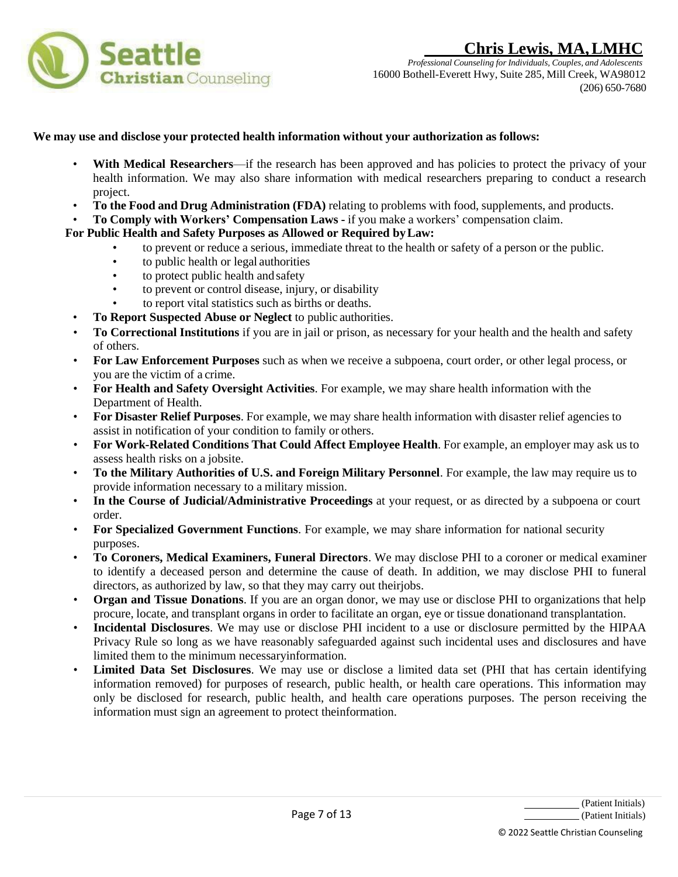

*Professional Counseling for Individuals, Couples, and Adolescents* 16000 Bothell-Everett Hwy, Suite 285, Mill Creek, WA98012 (206) 650-7680

### **We may use and disclose your protected health information without your authorization as follows:**

- With Medical Researchers—if the research has been approved and has policies to protect the privacy of your health information. We may also share information with medical researchers preparing to conduct a research project.
- **To the Food and Drug Administration (FDA)** relating to problems with food, supplements, and products.
- **To Comply with Workers' Compensation Laws -** if you make a workers' compensation claim.

## **For Public Health and Safety Purposes as Allowed or Required byLaw:**

- to prevent or reduce a serious, immediate threat to the health or safety of a person or the public.
- to public health or legal authorities
- to protect public health and safety
- to prevent or control disease, injury, or disability
- to report vital statistics such as births or deaths.
- **To Report Suspected Abuse or Neglect** to public authorities.
- **To Correctional Institutions** if you are in jail or prison, as necessary for your health and the health and safety of others.
- **For Law Enforcement Purposes** such as when we receive a subpoena, court order, or other legal process, or you are the victim of a crime.
- **For Health and Safety Oversight Activities**. For example, we may share health information with the Department of Health.
- **For Disaster Relief Purposes**. For example, we may share health information with disaster relief agencies to assist in notification of your condition to family or others.
- **For Work-Related Conditions That Could Affect Employee Health**. For example, an employer may ask us to assess health risks on a jobsite.
- **To the Military Authorities of U.S. and Foreign Military Personnel**. For example, the law may require us to provide information necessary to a military mission.
- **In the Course of Judicial/Administrative Proceedings** at your request, or as directed by a subpoena or court order.
- **For Specialized Government Functions**. For example, we may share information for national security purposes.
- **To Coroners, Medical Examiners, Funeral Directors**. We may disclose PHI to a coroner or medical examiner to identify a deceased person and determine the cause of death. In addition, we may disclose PHI to funeral directors, as authorized by law, so that they may carry out theirjobs.
- **Organ and Tissue Donations**. If you are an organ donor, we may use or disclose PHI to organizations that help procure, locate, and transplant organs in order to facilitate an organ, eye or tissue donationand transplantation.
- **Incidental Disclosures**. We may use or disclose PHI incident to a use or disclosure permitted by the HIPAA Privacy Rule so long as we have reasonably safeguarded against such incidental uses and disclosures and have limited them to the minimum necessaryinformation.
- **Limited Data Set Disclosures**. We may use or disclose a limited data set (PHI that has certain identifying information removed) for purposes of research, public health, or health care operations. This information may only be disclosed for research, public health, and health care operations purposes. The person receiving the information must sign an agreement to protect theinformation.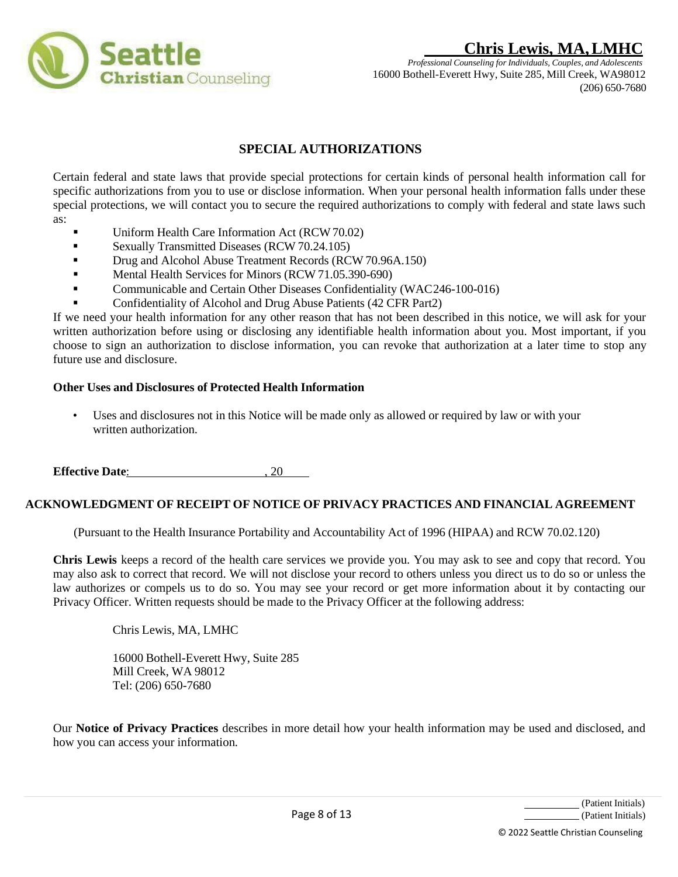

*Professional Counseling for Individuals, Couples, and Adolescents* 16000 Bothell-Everett Hwy, Suite 285, Mill Creek, WA98012 (206) 650-7680

# **SPECIAL AUTHORIZATIONS**

Certain federal and state laws that provide special protections for certain kinds of personal health information call for specific authorizations from you to use or disclose information. When your personal health information falls under these special protections, we will contact you to secure the required authorizations to comply with federal and state laws such as:

- Uniform Health Care Information Act (RCW70.02)
- **•** Sexually Transmitted Diseases (RCW 70.24.105)
- **•** Drug and Alcohol Abuse Treatment Records (RCW 70.96A.150)
- **•** Mental Health Services for Minors (RCW 71.05.390-690)
- **•** Communicable and Certain Other Diseases Confidentiality (WAC246-100-016)
- Confidentiality of Alcohol and Drug Abuse Patients (42 CFR Part2)

If we need your health information for any other reason that has not been described in this notice, we will ask for your written authorization before using or disclosing any identifiable health information about you. Most important, if you choose to sign an authorization to disclose information, you can revoke that authorization at a later time to stop any future use and disclosure.

### **Other Uses and Disclosures of Protected Health Information**

• Uses and disclosures not in this Notice will be made only as allowed or required by law or with your written authorization.

**Effective Date:** , 20

### **ACKNOWLEDGMENT OF RECEIPT OF NOTICE OF PRIVACY PRACTICES AND FINANCIAL AGREEMENT**

(Pursuant to the Health Insurance Portability and Accountability Act of 1996 (HIPAA) and RCW 70.02.120)

**Chris Lewis** keeps a record of the health care services we provide you. You may ask to see and copy that record. You may also ask to correct that record. We will not disclose your record to others unless you direct us to do so or unless the law authorizes or compels us to do so. You may see your record or get more information about it by contacting our Privacy Officer. Written requests should be made to the Privacy Officer at the following address:

Chris Lewis, MA, LMHC

16000 Bothell-Everett Hwy, Suite 285 Mill Creek, WA 98012 Tel: (206) 650-7680

Our **Notice of Privacy Practices** describes in more detail how your health information may be used and disclosed, and how you can access your information.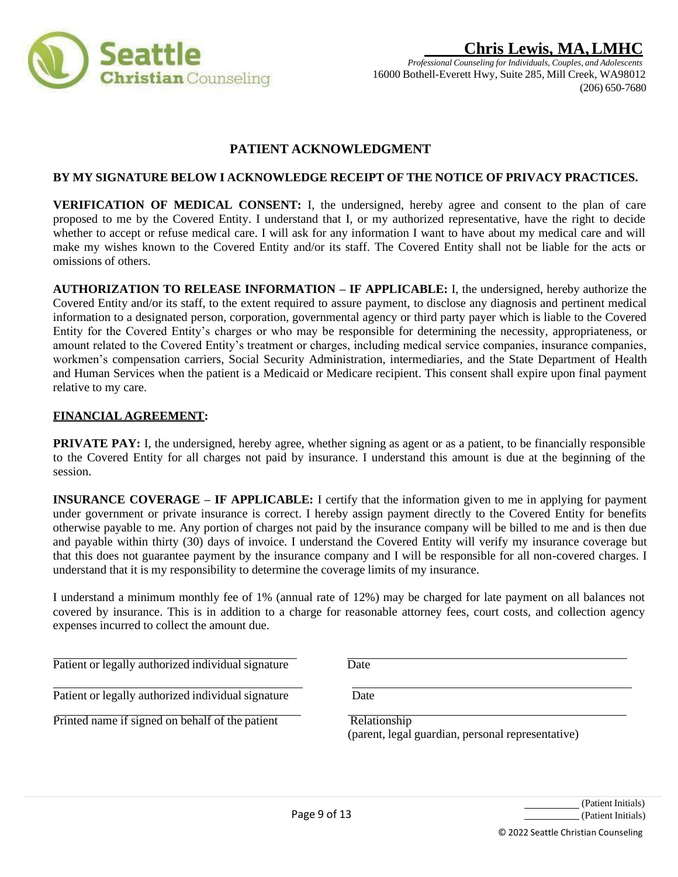

# **Chris Lewis, MA,LMHC** *Professional Counseling for Individuals, Couples, and Adolescents*

16000 Bothell-Everett Hwy, Suite 285, Mill Creek, WA98012 (206) 650-7680

# **PATIENT ACKNOWLEDGMENT**

## **BY MY SIGNATURE BELOW I ACKNOWLEDGE RECEIPT OF THE NOTICE OF PRIVACY PRACTICES.**

**VERIFICATION OF MEDICAL CONSENT:** I, the undersigned, hereby agree and consent to the plan of care proposed to me by the Covered Entity. I understand that I, or my authorized representative, have the right to decide whether to accept or refuse medical care. I will ask for any information I want to have about my medical care and will make my wishes known to the Covered Entity and/or its staff. The Covered Entity shall not be liable for the acts or omissions of others.

**AUTHORIZATION TO RELEASE INFORMATION – IF APPLICABLE:** I, the undersigned, hereby authorize the Covered Entity and/or its staff, to the extent required to assure payment, to disclose any diagnosis and pertinent medical information to a designated person, corporation, governmental agency or third party payer which is liable to the Covered Entity for the Covered Entity's charges or who may be responsible for determining the necessity, appropriateness, or amount related to the Covered Entity's treatment or charges, including medical service companies, insurance companies, workmen's compensation carriers, Social Security Administration, intermediaries, and the State Department of Health and Human Services when the patient is a Medicaid or Medicare recipient. This consent shall expire upon final payment relative to my care.

### **FINANCIAL AGREEMENT:**

**PRIVATE PAY:** I, the undersigned, hereby agree, whether signing as agent or as a patient, to be financially responsible to the Covered Entity for all charges not paid by insurance. I understand this amount is due at the beginning of the session.

**INSURANCE COVERAGE – IF APPLICABLE:** I certify that the information given to me in applying for payment under government or private insurance is correct. I hereby assign payment directly to the Covered Entity for benefits otherwise payable to me. Any portion of charges not paid by the insurance company will be billed to me and is then due and payable within thirty (30) days of invoice. I understand the Covered Entity will verify my insurance coverage but that this does not guarantee payment by the insurance company and I will be responsible for all non-covered charges. I understand that it is my responsibility to determine the coverage limits of my insurance.

I understand a minimum monthly fee of 1% (annual rate of 12%) may be charged for late payment on all balances not covered by insurance. This is in addition to a charge for reasonable attorney fees, court costs, and collection agency expenses incurred to collect the amount due.

Patient or legally authorized individual signature Date

Patient or legally authorized individual signature Date

Printed name if signed on behalf of the patient Relationship

(parent, legal guardian, personal representative)

(Patient Initials) (Patient Initials)

© 2022 Seattle Christian Counseling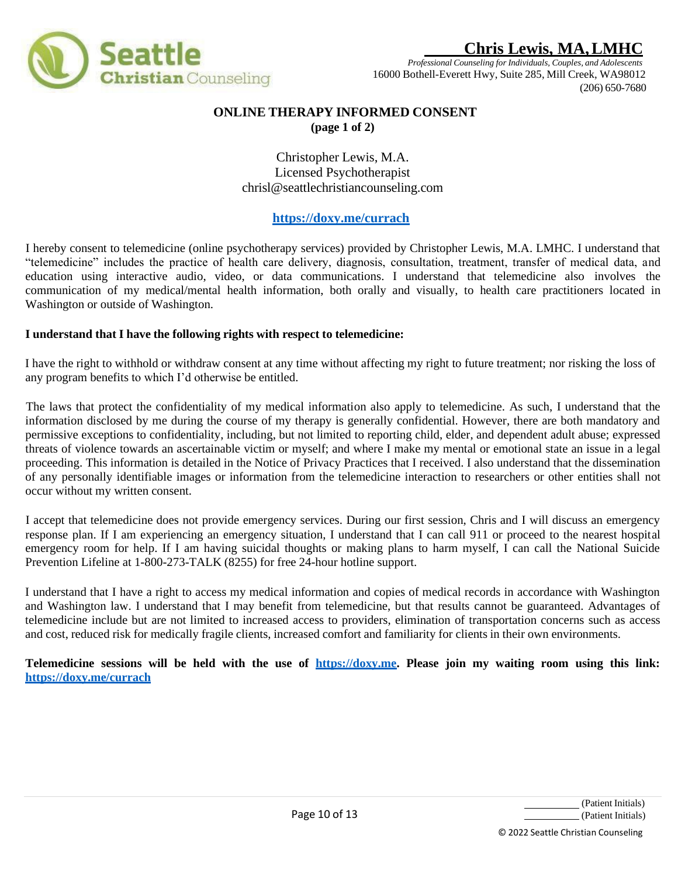

*Professional Counseling for Individuals, Couples, and Adolescents* 16000 Bothell-Everett Hwy, Suite 285, Mill Creek, WA98012 (206) 650-7680

## **ONLINE THERAPY INFORMED CONSENT (page 1 of 2)**

Christopher Lewis, M.A. Licensed Psychotherapist [chrisl@seattlechristiancounseling.com](mailto:chrisl@seattlechristiancounseling.com)

# **https://doxy.me/currach**

I hereby consent to telemedicine (online psychotherapy services) provided by Christopher Lewis, M.A. LMHC. I understand that "telemedicine" includes the practice of health care delivery, diagnosis, consultation, treatment, transfer of medical data, and education using interactive audio, video, or data communications. I understand that telemedicine also involves the communication of my medical/mental health information, both orally and visually, to health care practitioners located in Washington or outside of Washington.

## **I understand that I have the following rights with respect to telemedicine:**

I have the right to withhold or withdraw consent at any time without affecting my right to future treatment; nor risking the loss of any program benefits to which I'd otherwise be entitled.

The laws that protect the confidentiality of my medical information also apply to telemedicine. As such, I understand that the information disclosed by me during the course of my therapy is generally confidential. However, there are both mandatory and permissive exceptions to confidentiality, including, but not limited to reporting child, elder, and dependent adult abuse; expressed threats of violence towards an ascertainable victim or myself; and where I make my mental or emotional state an issue in a legal proceeding. This information is detailed in the Notice of Privacy Practices that I received. I also understand that the dissemination of any personally identifiable images or information from the telemedicine interaction to researchers or other entities shall not occur without my written consent.

I accept that telemedicine does not provide emergency services. During our first session, Chris and I will discuss an emergency response plan. If I am experiencing an emergency situation, I understand that I can call 911 or proceed to the nearest hospital emergency room for help. If I am having suicidal thoughts or making plans to harm myself, I can call the National Suicide Prevention Lifeline at 1-800-273-TALK (8255) for free 24-hour hotline support.

I understand that I have a right to access my medical information and copies of medical records in accordance with Washington and Washington law. I understand that I may benefit from telemedicine, but that results cannot be guaranteed. Advantages of telemedicine include but are not limited to increased access to providers, elimination of transportation concerns such as access and cost, reduced risk for medically fragile clients, increased comfort and familiarity for clients in their own environments.

Telemedicine sessions will be held with the use of https://doxy.me. Please join my waiting room using this link: **https://doxy.me/currach**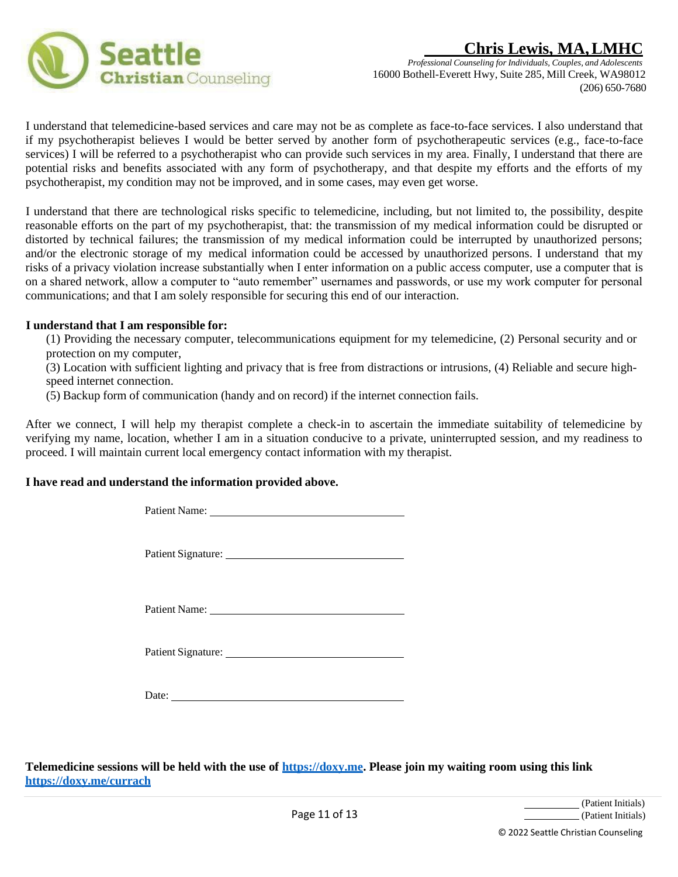



I understand that telemedicine-based services and care may not be as complete as face-to-face services. I also understand that if my psychotherapist believes I would be better served by another form of psychotherapeutic services (e.g., face-to-face services) I will be referred to a psychotherapist who can provide such services in my area. Finally, I understand that there are potential risks and benefits associated with any form of psychotherapy, and that despite my efforts and the efforts of my psychotherapist, my condition may not be improved, and in some cases, may even get worse.

I understand that there are technological risks specific to telemedicine, including, but not limited to, the possibility, despite reasonable efforts on the part of my psychotherapist, that: the transmission of my medical information could be disrupted or distorted by technical failures; the transmission of my medical information could be interrupted by unauthorized persons; and/or the electronic storage of my medical information could be accessed by unauthorized persons. I understand that my risks of a privacy violation increase substantially when I enter information on a public access computer, use a computer that is on a shared network, allow a computer to "auto remember" usernames and passwords, or use my work computer for personal communications; and that I am solely responsible for securing this end of our interaction.

#### **I understand that I am responsible for:**

(1) Providing the necessary computer, telecommunications equipment for my telemedicine, (2) Personal security and or protection on my computer,

(3) Location with sufficient lighting and privacy that is free from distractions or intrusions, (4) Reliable and secure highspeed internet connection.

(5) Backup form of communication (handy and on record) if the internet connection fails.

After we connect, I will help my therapist complete a check-in to ascertain the immediate suitability of telemedicine by verifying my name, location, whether I am in a situation conducive to a private, uninterrupted session, and my readiness to proceed. I will maintain current local emergency contact information with my therapist.

### **I have read and understand the information provided above.**

Patient Name:

Patient Signature:

Patient Name:

Patient Signature:

Date:

**Telemedicine sessions will be held with the use of https://doxy.me. Please join my waiting room using this link https://doxy.me/currach**

> (Patient Initials) (Patient Initials)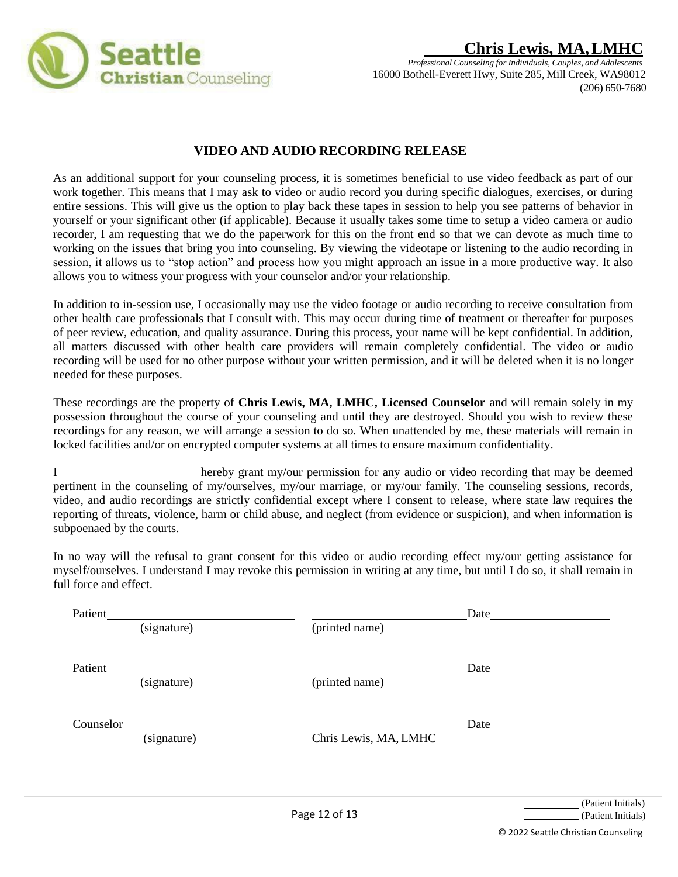

# **VIDEO AND AUDIO RECORDING RELEASE**

As an additional support for your counseling process, it is sometimes beneficial to use video feedback as part of our work together. This means that I may ask to video or audio record you during specific dialogues, exercises, or during entire sessions. This will give us the option to play back these tapes in session to help you see patterns of behavior in yourself or your significant other (if applicable). Because it usually takes some time to setup a video camera or audio recorder, I am requesting that we do the paperwork for this on the front end so that we can devote as much time to working on the issues that bring you into counseling. By viewing the videotape or listening to the audio recording in session, it allows us to "stop action" and process how you might approach an issue in a more productive way. It also allows you to witness your progress with your counselor and/or your relationship.

In addition to in-session use, I occasionally may use the video footage or audio recording to receive consultation from other health care professionals that I consult with. This may occur during time of treatment or thereafter for purposes of peer review, education, and quality assurance. During this process, your name will be kept confidential. In addition, all matters discussed with other health care providers will remain completely confidential. The video or audio recording will be used for no other purpose without your written permission, and it will be deleted when it is no longer needed for these purposes.

These recordings are the property of **Chris Lewis, MA, LMHC, Licensed Counselor** and will remain solely in my possession throughout the course of your counseling and until they are destroyed. Should you wish to review these recordings for any reason, we will arrange a session to do so. When unattended by me, these materials will remain in locked facilities and/or on encrypted computer systems at all times to ensure maximum confidentiality.

I hereby grant my/our permission for any audio or video recording that may be deemed pertinent in the counseling of my/ourselves, my/our marriage, or my/our family. The counseling sessions, records, video, and audio recordings are strictly confidential except where I consent to release, where state law requires the reporting of threats, violence, harm or child abuse, and neglect (from evidence or suspicion), and when information is subpoenaed by the courts.

In no way will the refusal to grant consent for this video or audio recording effect my/our getting assistance for myself/ourselves. I understand I may revoke this permission in writing at any time, but until I do so, it shall remain in full force and effect.

| Patient   |             |                       | Date |
|-----------|-------------|-----------------------|------|
|           | (signature) | (printed name)        |      |
|           |             |                       |      |
|           |             |                       |      |
| Patient   |             |                       | Date |
|           | (signature) | (printed name)        |      |
|           |             |                       |      |
|           |             |                       |      |
| Counselor |             |                       | Date |
|           |             |                       |      |
|           |             |                       |      |
|           |             |                       |      |
|           |             |                       |      |
|           | (signature) | Chris Lewis, MA, LMHC |      |